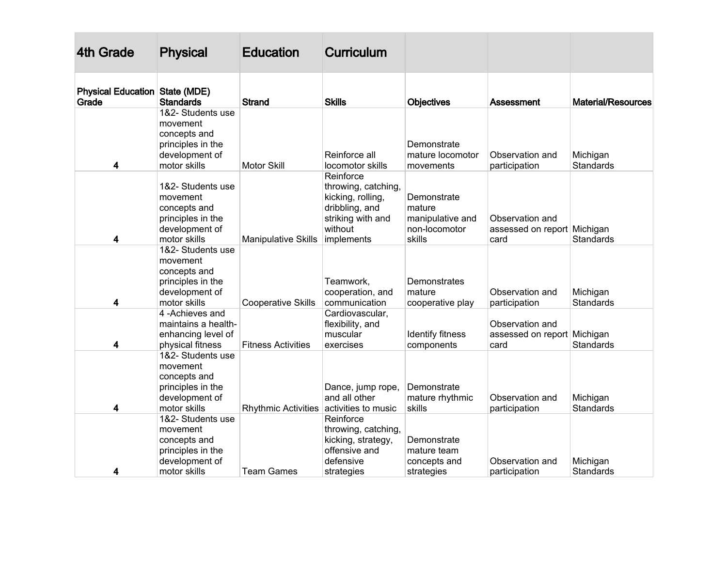| 4th Grade                                      | <b>Physical</b>                                                                                      | <b>Education</b>           | <b>Curriculum</b>                                                                                                     |                                                                      |                                                                         |                              |
|------------------------------------------------|------------------------------------------------------------------------------------------------------|----------------------------|-----------------------------------------------------------------------------------------------------------------------|----------------------------------------------------------------------|-------------------------------------------------------------------------|------------------------------|
| <b>Physical Education State (MDE)</b><br>Grade | <b>Standards</b>                                                                                     | <b>Strand</b>              | <b>Skills</b>                                                                                                         | Objectives                                                           | Assessment                                                              | <b>Material/Resources</b>    |
| 4                                              | 1&2- Students use<br>movement<br>concepts and<br>principles in the<br>development of<br>motor skills | <b>Motor Skill</b>         | Reinforce all<br>locomotor skills                                                                                     | Demonstrate<br>mature locomotor<br>movements                         | Observation and                                                         | Michigan<br>Standards        |
| 4                                              | 1&2- Students use<br>movement<br>concepts and<br>principles in the<br>development of<br>motor skills | <b>Manipulative Skills</b> | Reinforce<br>throwing, catching,<br>kicking, rolling,<br>dribbling, and<br>striking with and<br>without<br>implements | Demonstrate<br>mature<br>manipulative and<br>non-locomotor<br>skills | participation<br>Observation and<br>assessed on report Michigan<br>card | Standards                    |
| 4                                              | 1&2- Students use<br>movement<br>concepts and<br>principles in the<br>development of<br>motor skills | <b>Cooperative Skills</b>  | Teamwork,<br>cooperation, and<br>communication                                                                        | Demonstrates<br>mature<br>cooperative play                           | Observation and<br>participation                                        | Michigan<br><b>Standards</b> |
| 4                                              | 4-Achieves and<br>maintains a health-<br>enhancing level of<br>physical fitness                      | <b>Fitness Activities</b>  | Cardiovascular,<br>flexibility, and<br>muscular<br>exercises                                                          | Identify fitness<br>components                                       | Observation and<br>assessed on report Michigan<br>card                  | Standards                    |
| 4                                              | 1&2- Students use<br>movement<br>concepts and<br>principles in the<br>development of<br>motor skills | <b>Rhythmic Activities</b> | Dance, jump rope,<br>and all other<br>activities to music                                                             | Demonstrate<br>mature rhythmic<br>skills                             | Observation and<br>participation                                        | Michigan<br>Standards        |
| 4                                              | 1&2- Students use<br>movement<br>concepts and<br>principles in the<br>development of<br>motor skills | <b>Team Games</b>          | Reinforce<br>throwing, catching,<br>kicking, strategy,<br>offensive and<br>defensive<br>strategies                    | Demonstrate<br>mature team<br>concepts and<br>strategies             | Observation and<br>participation                                        | Michigan<br>Standards        |